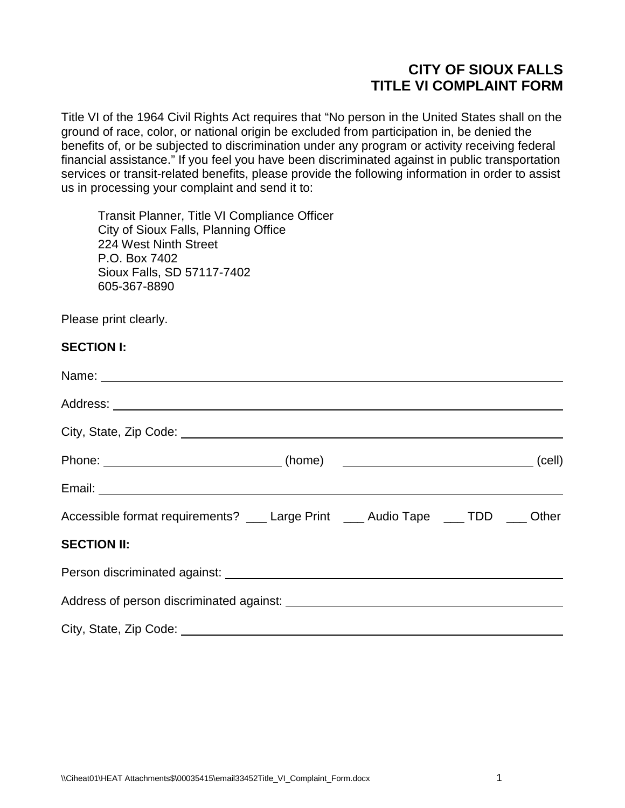# **CITY OF SIOUX FALLS TITLE VI COMPLAINT FORM**

Title VI of the 1964 Civil Rights Act requires that "No person in the United States shall on the ground of race, color, or national origin be excluded from participation in, be denied the benefits of, or be subjected to discrimination under any program or activity receiving federal financial assistance." If you feel you have been discriminated against in public transportation services or transit-related benefits, please provide the following information in order to assist us in processing your complaint and send it to:

Transit Planner, Title VI Compliance Officer City of Sioux Falls, Planning Office 224 West Ninth Street P.O. Box 7402 Sioux Falls, SD 57117-7402 605-367-8890

Please print clearly.

#### **SECTION I:**

| Phone: ______________________________(home) ___________________________________(cell)                                                                                                                                                |  |  |
|--------------------------------------------------------------------------------------------------------------------------------------------------------------------------------------------------------------------------------------|--|--|
| Email: <u>Alexander Alexander Alexander Alexander Alexander Alexander Alexander Alexander Alexander Alexander Alexander Alexander Alexander Alexander Alexander Alexander Alexander Alexander Alexander Alexander Alexander Alex</u> |  |  |
| Accessible format requirements? ___ Large Print ___ Audio Tape ___ TDD ___ Other                                                                                                                                                     |  |  |
| <b>SECTION II:</b>                                                                                                                                                                                                                   |  |  |
| Person discriminated against: <u>contract and a series of the series of the series of the series of the series of</u>                                                                                                                |  |  |
|                                                                                                                                                                                                                                      |  |  |
|                                                                                                                                                                                                                                      |  |  |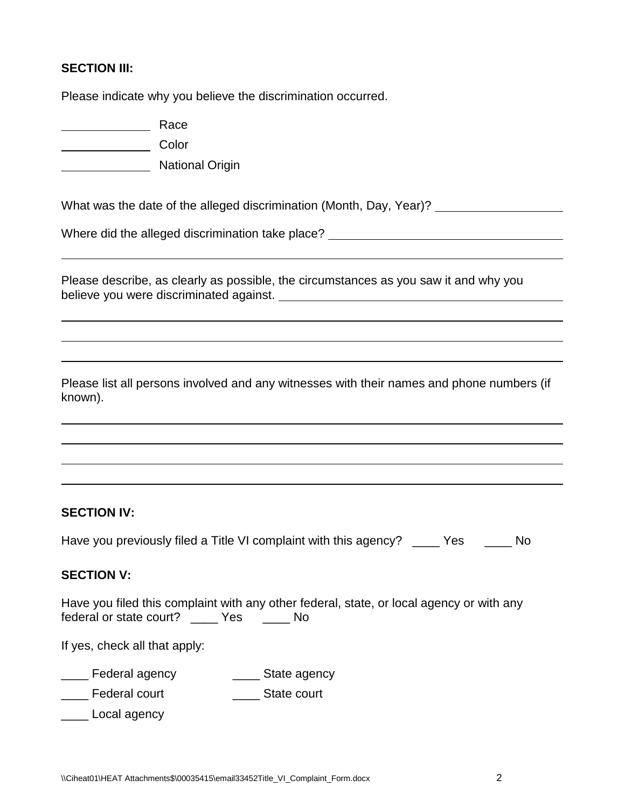# **SECTION III:**

Please indicate why you believe the discrimination occurred.

Race

**Color** 

**National Origin** 

What was the date of the alleged discrimination (Month, Day, Year)?

Where did the alleged discrimination take place? <u>entitled and the set of the set of the set of the set of the set of the set of the set of the set of the set of the set of the set of the set of the set of the set of the s</u>

Please describe, as clearly as possible, the circumstances as you saw it and why you believe you were discriminated against.

Please list all persons involved and any witnesses with their names and phone numbers (if known).

## **SECTION IV:**

Have you previously filed a Title VI complaint with this agency? \_\_\_\_\_ Yes \_\_\_\_\_\_ No

## **SECTION V:**

Have you filed this complaint with any other federal, state, or local agency or with any federal or state court? \_\_\_\_ Yes \_\_\_\_ No

If yes, check all that apply:

**EXECUTE:** Federal agency **EXECUTE:** State agency

Loom Federal court **Loom Court** State court

\_\_\_\_ Local agency